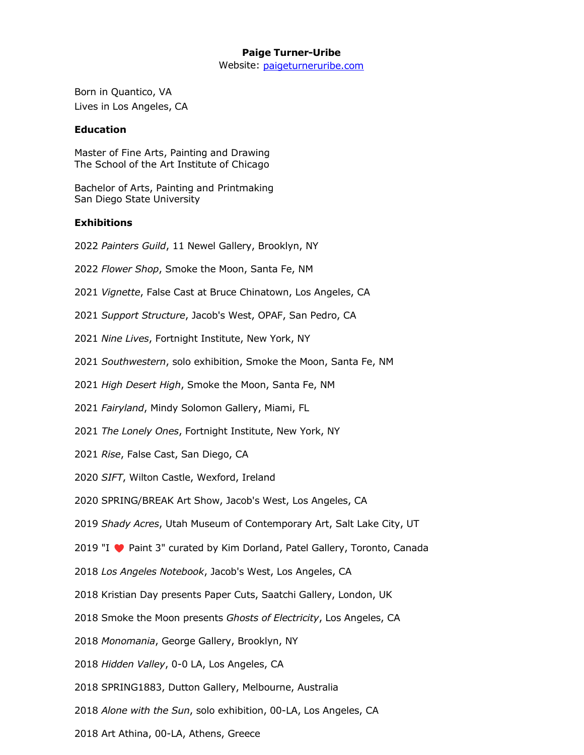# **Paige Turner-Uribe**

Website: [paigeturneruribe.com](http://paigeturneruntitled.com/)

Born in Quantico, VA Lives in Los Angeles, CA

#### **Education**

Master of Fine Arts, Painting and Drawing The School of the Art Institute of Chicago

Bachelor of Arts, Painting and Printmaking San Diego State University

# **Exhibitions**

2022 *Painters Guild*, 11 Newel Gallery, Brooklyn, NY

- 2022 *Flower Shop*, Smoke the Moon, Santa Fe, NM
- 2021 *Vignette*, False Cast at Bruce Chinatown, Los Angeles, CA
- 2021 *Support Structure*, Jacob's West, OPAF, San Pedro, CA
- 2021 *Nine Lives*, Fortnight Institute, New York, NY
- 2021 *Southwestern*, solo exhibition, Smoke the Moon, Santa Fe, NM
- 2021 *High Desert High*, Smoke the Moon, Santa Fe, NM
- 2021 *Fairyland*, Mindy Solomon Gallery, Miami, FL
- 2021 *The Lonely Ones*, Fortnight Institute, New York, NY
- 2021 *Rise*, False Cast, San Diego, CA
- 2020 *SIFT*, Wilton Castle, Wexford, Ireland
- 2020 SPRING/BREAK Art Show, Jacob's West, Los Angeles, CA
- 2019 *Shady Acres*, Utah Museum of Contemporary Art, Salt Lake City, UT
- 2019 "I ♥ Paint 3" curated by Kim Dorland, Patel Gallery, Toronto, Canada
- 2018 *Los Angeles Notebook*, Jacob's West, Los Angeles, CA
- 2018 Kristian Day presents Paper Cuts, Saatchi Gallery, London, UK
- 2018 Smoke the Moon presents *Ghosts of Electricity*, Los Angeles, CA
- 2018 *Monomania*, George Gallery, Brooklyn, NY
- 2018 *Hidden Valley*, 0-0 LA, Los Angeles, CA
- 2018 SPRING1883, Dutton Gallery, Melbourne, Australia
- 2018 *Alone with the Sun*, solo exhibition, 00-LA, Los Angeles, CA
- 2018 Art Athina, 00-LA, Athens, Greece